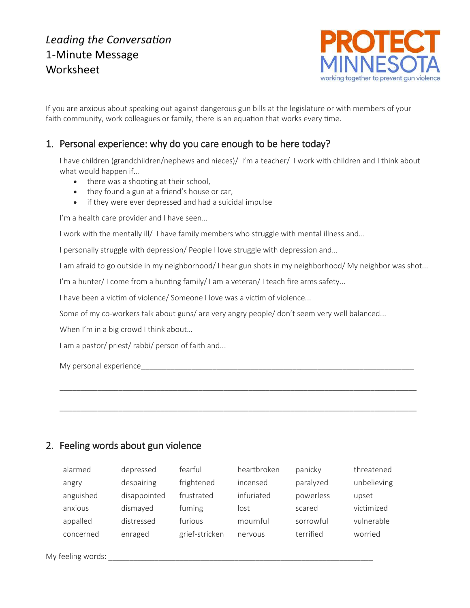# *Leading the Conversation* 1-Minute Message Worksheet



If you are anxious about speaking out against dangerous gun bills at the legislature or with members of your faith community, work colleagues or family, there is an equation that works every time.

## 1. Personal experience: why do you care enough to be here today?

I have children (grandchildren/nephews and nieces)/ I'm a teacher/ I work with children and I think about what would happen if…

- there was a shooting at their school,
- they found a gun at a friend's house or car,
- if they were ever depressed and had a suicidal impulse

I'm a health care provider and I have seen...

I work with the mentally ill/ I have family members who struggle with mental illness and...

I personally struggle with depression/ People I love struggle with depression and…

I am afraid to go outside in my neighborhood/ I hear gun shots in my neighborhood/ My neighbor was shot...

I'm a hunter/I come from a hunting family/I am a veteran/I teach fire arms safety...

I have been a victim of violence/ Someone I love was a victim of violence...

Some of my co-workers talk about guns/ are very angry people/ don't seem very well balanced...

When I'm in a big crowd I think about...

I am a pastor/ priest/ rabbi/ person of faith and...

My personal experience and the state of the state of the state of the state of the state of the state of the state of the state of the state of the state of the state of the state of the state of the state of the state of

### 2. Feeling words about gun violence

| alarmed   | depressed    | fearful        | heartbroken | panicky   | threatened  |
|-----------|--------------|----------------|-------------|-----------|-------------|
| angry     | despairing   | frightened     | incensed    | paralyzed | unbelieving |
| anguished | disappointed | frustrated     | infuriated  | powerless | upset       |
| anxious   | dismayed     | fuming         | lost        | scared    | victimized  |
| appalled  | distressed   | furious        | mournful    | sorrowful | vulnerable  |
| concerned | enraged      | grief-stricken | nervous     | terrified | worried     |

\_\_\_\_\_\_\_\_\_\_\_\_\_\_\_\_\_\_\_\_\_\_\_\_\_\_\_\_\_\_\_\_\_\_\_\_\_\_\_\_\_\_\_\_\_\_\_\_\_\_\_\_\_\_\_\_\_\_\_\_\_\_\_\_\_\_\_\_\_\_\_\_\_\_\_\_\_\_\_\_\_\_\_\_\_

\_\_\_\_\_\_\_\_\_\_\_\_\_\_\_\_\_\_\_\_\_\_\_\_\_\_\_\_\_\_\_\_\_\_\_\_\_\_\_\_\_\_\_\_\_\_\_\_\_\_\_\_\_\_\_\_\_\_\_\_\_\_\_\_\_\_\_\_\_\_\_\_\_\_\_\_\_\_\_\_\_\_\_\_\_

My feeling words: